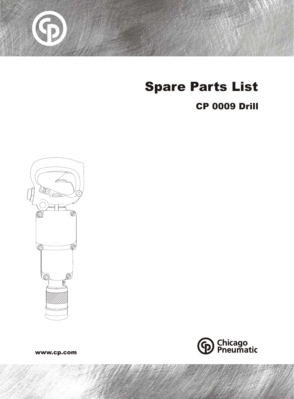

# Spare Parts List

#### CP 0009 Drill





www.cp.com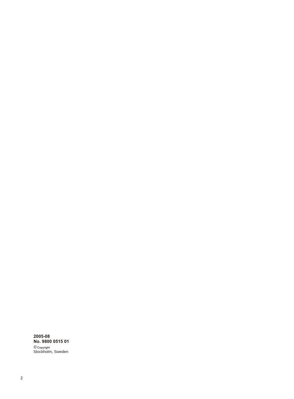© Stockholm, Sweden **2005-08 No. 9800 0515 01**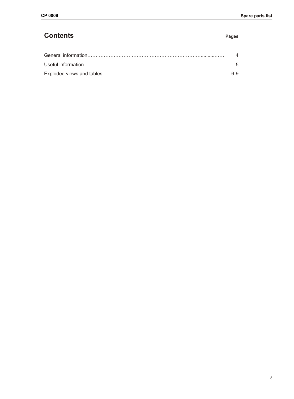#### **Contents Pages**

| 4   |
|-----|
| - 5 |
| հ-9 |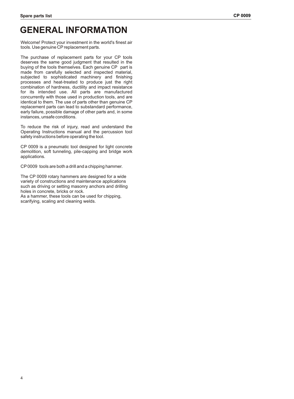### **GENERAL INFORMATION**

Welcome! Protect your investment in the world's finest air tools. Use genuine CP replacement parts.

The purchase of replacement parts for your CP tools deserves the same good judgment that resulted in the buying of the tools themselves. Each genuine CP part is made from carefully selected and inspected material, subjected to sophisticated machinery and finishing processes and heat-treated to produce just the right combination of hardness, ductility and impact resistance for its intended use. All parts are manufactured concurrently with those used in production tools, and are identical to them. The use of parts other than genuine CP replacement parts can lead to substandard performance, early failure, possible damage of other parts and, in some instances, unsafe conditions.

To reduce the risk of injury, read and understand the Operating Instructions manual and the percussion tool safety instructions before operating the tool.

CP 0009 is a pneumatic tool designed for light concrete demolition, soft tunneling, pile-capping and bridge work applications.

CP 0009 tools are both a drill and a chipping hammer.

The CP 0009 rotary hammers are designed for a wide variety of constructions and maintenance applications such as driving or setting masonry anchors and drilling holes in concrete, bricks or rock.

As a hammer, these tools can be used for chipping, scarifying, scaling and cleaning welds.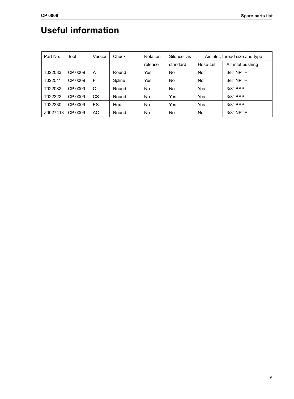# **Useful information**

| Part No. | Tool    | Version   | Chuck  | Rotation | Silencer as | Air inlet, thread size and type |                   |
|----------|---------|-----------|--------|----------|-------------|---------------------------------|-------------------|
|          |         |           |        | release  | standard    | Hose-tail                       | Air inlet bushing |
| T022083  | CP 0009 | A         | Round  | Yes      | No          | No                              | 3/8" NPTF         |
| T022511  | CP 0009 | F         | Spline | Yes      | No.         | No                              | 3/8" NPTF         |
| T022082  | CP 0009 | C         | Round  | No       | No          | Yes                             | 3/8" BSP          |
| T022322  | CP 0009 | CS.       | Round  | No.      | Yes         | Yes                             | 3/8" BSP          |
| T022330  | CP 0009 | <b>ES</b> | Hex.   | No.      | Yes         | Yes                             | 3/8" BSP          |
| Z0027413 | CP 0009 | AC.       | Round  | No.      | No          | No                              | 3/8" NPTF         |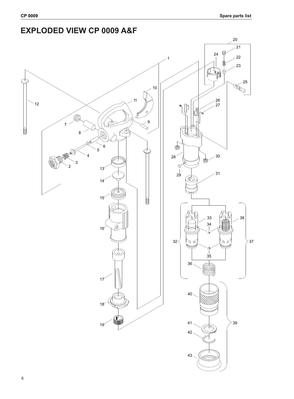#### **EXPLODED VIEW CP 0009 A&F**

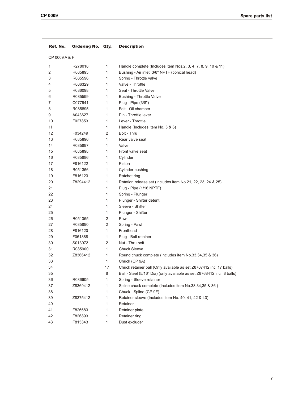| Ref. No.      | <b>Ordering No. Qty.</b> |                | <b>Description</b>                                                      |
|---------------|--------------------------|----------------|-------------------------------------------------------------------------|
| CP 0009 A & F |                          |                |                                                                         |
| 1             | R278018                  | $\mathbf{1}$   | Handle complete (Includes item Nos.2, 3, 4, 7, 8, 9, 10 & 11)           |
| 2             | R085893                  | 1              | Bushing - Air inlet 3/8" NPTF (conical head)                            |
| 3             | R085596                  | $\mathbf{1}$   | Spring - Throttle valve                                                 |
| 4             | R086329                  | $\mathbf{1}$   | Valve - Throttle                                                        |
| 5             | R086098                  | 1              | Seat - Throttle Valve                                                   |
| 6             | R085599                  | 1              | Bushing - Throttle Valve                                                |
| 7             | C077941                  | 1              | Plug - Pipe (3/8")                                                      |
| 8             | R085895                  | $\mathbf{1}$   | Felt - Oil chamber                                                      |
| 9             | A043627                  | $\mathbf{1}$   | Pin - Throttle lever                                                    |
| 10            | F027853                  | $\mathbf{1}$   | Lever - Throttle                                                        |
| 11            |                          | 1              | Handle (Includes item No. 5 & 6)                                        |
| 12            | F034249                  | 2              | Bolt - Thru                                                             |
| 13            | R085896                  | 1              | Rear valve seat                                                         |
| 14            | R085897                  | $\mathbf{1}$   | Valve                                                                   |
| 15            | R085898                  | 1              | Front valve seat                                                        |
| 16            | R085886                  | $\mathbf{1}$   | Cylinder                                                                |
| 17            | F816122                  | 1              | Piston                                                                  |
| 18            | R051356                  | 1              | Cylinder bushing                                                        |
| 19            | F816123                  | 1              | Ratchet ring                                                            |
| 20            | Z8294412                 | $\mathbf{1}$   | Rotation release set (Includes item No.21, 22, 23, 24 & 25)             |
| 21            |                          | $\mathbf{1}$   | Plug - Pipe (1/16 NPTF)                                                 |
| 22            |                          | 1              | Spring - Plunger                                                        |
| 23            |                          | 1              | Plunger - Shifter detent                                                |
| 24            |                          | 1              | Sleeve - Shifter                                                        |
| 25            |                          | 1              | Plunger - Shifter                                                       |
| 26            | R051355                  | $\overline{2}$ | Pawl                                                                    |
| 27            | R085890                  | $\overline{2}$ | Spring - Pawl                                                           |
| 28            | F816120                  | $\mathbf{1}$   | Fronthead                                                               |
| 29            | F061888                  | $\mathbf{1}$   | Plug - Ball retainer                                                    |
| 30            | S013073                  | $\overline{2}$ | Nut - Thru bolt                                                         |
| 31            | R085900                  | $\mathbf{1}$   | <b>Chuck Sleeve</b>                                                     |
| 32            | Z8366412                 | 1              | Round chuck complete (Includes item No.33,34,35 & 36)                   |
| 33            |                          | 1              | Chuck (CP 9A)                                                           |
| 34            |                          | 17             | Chuck retainer ball (Only available as set Z8767412 incl.17 balls)      |
| 35            |                          | 8              | Ball - Steel (5/16" Dia) (only available as set Z8768412 incl. 8 balls) |
| 36            | R086605                  | 1              | Spring - Sleeve retainer                                                |
| 37            | Z8369412                 | 1              | Spline chuck complete (Includes item No.38,34,35 & 36)                  |
| 38            |                          | 1              | Chuck - Spline (CP 9F)                                                  |
| 39            | Z8375412                 | $\mathbf{1}$   | Retainer sleeve (Includes item No. 40, 41, 42 & 43)                     |
| 40            |                          | 1              | Retainer                                                                |
| 41            | F826683                  | 1              | Retainer plate                                                          |
| 42            | F826893                  | 1              | Retainer ring                                                           |
| 43            | F815343                  | 1              | Dust excluder                                                           |
|               |                          |                |                                                                         |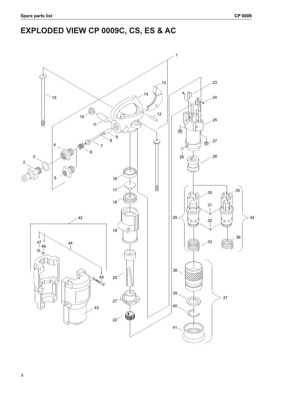## **EXPLODED VIEW CP 0009C, CS, ES & AC**

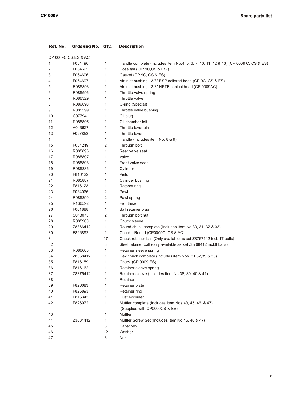| Ref. No. | <b>Ordering No.</b>   | Qty.         | <b>Description</b>                                                                  |  |
|----------|-----------------------|--------------|-------------------------------------------------------------------------------------|--|
|          | CP 0009C, CS, ES & AC |              |                                                                                     |  |
| 1        | F034496               | 1            | Handle complete (Includes item No.4, 5, 6, 7, 10, 11, 12 & 13) (CP 0009 C, CS & ES) |  |
| 2        | F064695               | $\mathbf{1}$ | Hose tail (CP 9C,CS & ES)                                                           |  |
| 3        | F064696               | 1            | Gasket (CP 9C, CS & ES)                                                             |  |
| 4        | F064697               | 1            | Air inlet bushing - 3/8" BSP collared head (CP 9C, CS & ES)                         |  |
| 5        | R085893               | 1            | Air inlet bushing - 3/8" NPTF conical head (CP 0009AC)                              |  |
| 6        | R085596               | 1            | Throttle valve spring                                                               |  |
| 7        | R086329               | 1            | Throttle valve                                                                      |  |
| 8        | R086098               | 1            | O-ring (Special)                                                                    |  |
| 9        | R085599               | 1            | Throttle valve bushing                                                              |  |
| 10       | C077941               | 1            | Oil plug                                                                            |  |
| 11       | R085895               | 1            | Oil chamber felt                                                                    |  |
| 12       | A043627               | 1            | Throttle lever pin                                                                  |  |
| 13       | F027853               | 1            | Throttle lever                                                                      |  |
| 14       |                       | 1            | Handle (Includes item No. 8 & 9)                                                    |  |
| 15       | F034249               | 2            | Through bolt                                                                        |  |
| 16       | R085896               | 1            | Rear valve seat                                                                     |  |
| 17       | R085897               | 1            | Valve                                                                               |  |
| 18       | R085898               | 1            | Front valve seat                                                                    |  |
| 19       | R085886               | 1            | Cylinder                                                                            |  |
| 20       | F816122               | 1            | Piston                                                                              |  |
| 21       | R085887               | 1            | Cylinder bushing                                                                    |  |
| 22       | F816123               | 1            | Ratchet ring                                                                        |  |
| 23       | F034066               | 2            | Pawl                                                                                |  |
| 24       | R085890               | 2            | Pawl spring                                                                         |  |
| 25       | R136592               | $\mathbf{1}$ | Fronthead                                                                           |  |
| 26       | F061888               | 1            | Ball retainer plug                                                                  |  |
| 27       | S013073               | 2            | Through bolt nut                                                                    |  |
| 28       | R085900               | 1            | Chuck sleeve                                                                        |  |
| 29       | Z8366412              | 1            | Round chuck complete (Includes item No.30, 31, 32 & 33)                             |  |
| 30       | F826892               | 1            | Chuck - Round (CP0009C, CS & AC)                                                    |  |
| 31       |                       | 17           | Chuck retainer ball (Only available as set Z8767412 incl. 17 balls)                 |  |
| 32       |                       | 8            | Steel retainer ball (only available as set Z8768412 incl.8 balls)                   |  |
| 33       | R086605               | 1            | Retainer sleeve spring                                                              |  |
| 34       | Z8368412              | 1            | Hex chuck complete (Includes item Nos. 31,32,35 & 36)                               |  |
| 35       | F816159               | 1            | Chuck (CP 0009 ES)                                                                  |  |
| 36       | F816162               | $\mathbf{1}$ | Retainer sleeve spring                                                              |  |
| 37       | Z8375412              | 1            | Retainer sleeve (Includes item No.38, 39, 40 & 41)                                  |  |
| 38       |                       | 1            | Retainer                                                                            |  |
| 39       | F826683               | 1            |                                                                                     |  |
|          |                       |              | Retainer plate                                                                      |  |
| 40       | F826893               | 1            | Retainer ring                                                                       |  |
| 41       | F815343               | 1            | Dust excluder                                                                       |  |
| 42       | F826972               | 1            | Muffler complete (Includes item Nos.43, 45, 46 & 47)                                |  |
|          |                       |              | (Supplied with CP0009CS & ES)                                                       |  |
| 43       |                       | 1            | Muffler                                                                             |  |
| 44       | Z3631412              | 1            | Muffler Screw Set (Includes item No.45, 46 & 47)                                    |  |
| 45       |                       | 6            | Capscrew                                                                            |  |
| 46       |                       | 12           | Washer                                                                              |  |
| 47       |                       | 6            | Nut                                                                                 |  |